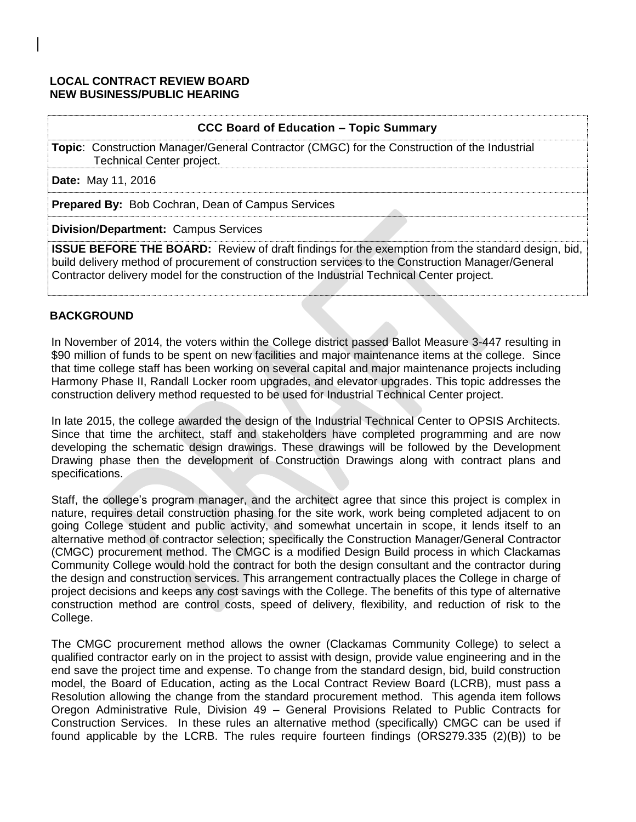# **LOCAL CONTRACT REVIEW BOARD NEW BUSINESS/PUBLIC HEARING**

## **CCC Board of Education – Topic Summary**

**Topic**: Construction Manager/General Contractor (CMGC) for the Construction of the Industrial Technical Center project.

**Date:** May 11, 2016

**Prepared By:** Bob Cochran, Dean of Campus Services

**Division/Department:** Campus Services

**ISSUE BEFORE THE BOARD:** Review of draft findings for the exemption from the standard design, bid, build delivery method of procurement of construction services to the Construction Manager/General Contractor delivery model for the construction of the Industrial Technical Center project.

# **BACKGROUND**

In November of 2014, the voters within the College district passed Ballot Measure 3-447 resulting in \$90 million of funds to be spent on new facilities and major maintenance items at the college. Since that time college staff has been working on several capital and major maintenance projects including Harmony Phase II, Randall Locker room upgrades, and elevator upgrades. This topic addresses the construction delivery method requested to be used for Industrial Technical Center project.

In late 2015, the college awarded the design of the Industrial Technical Center to OPSIS Architects. Since that time the architect, staff and stakeholders have completed programming and are now developing the schematic design drawings. These drawings will be followed by the Development Drawing phase then the development of Construction Drawings along with contract plans and specifications.

Staff, the college's program manager, and the architect agree that since this project is complex in nature, requires detail construction phasing for the site work, work being completed adjacent to on going College student and public activity, and somewhat uncertain in scope, it lends itself to an alternative method of contractor selection; specifically the Construction Manager/General Contractor (CMGC) procurement method. The CMGC is a modified Design Build process in which Clackamas Community College would hold the contract for both the design consultant and the contractor during the design and construction services. This arrangement contractually places the College in charge of project decisions and keeps any cost savings with the College. The benefits of this type of alternative construction method are control costs, speed of delivery, flexibility, and reduction of risk to the College.

The CMGC procurement method allows the owner (Clackamas Community College) to select a qualified contractor early on in the project to assist with design, provide value engineering and in the end save the project time and expense. To change from the standard design, bid, build construction model, the Board of Education, acting as the Local Contract Review Board (LCRB), must pass a Resolution allowing the change from the standard procurement method. This agenda item follows Oregon Administrative Rule, Division 49 – General Provisions Related to Public Contracts for Construction Services. In these rules an alternative method (specifically) CMGC can be used if found applicable by the LCRB. The rules require fourteen findings (ORS279.335 (2)(B)) to be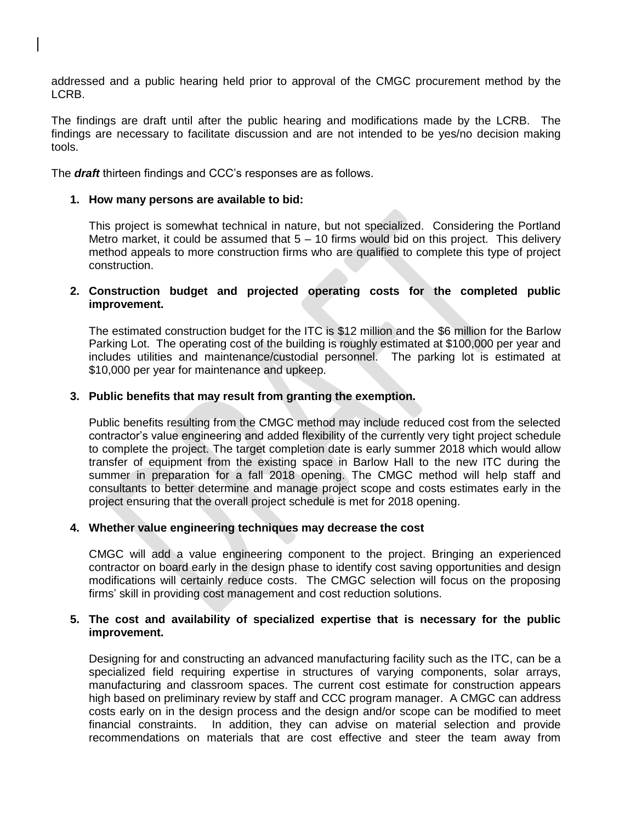addressed and a public hearing held prior to approval of the CMGC procurement method by the LCRB.

The findings are draft until after the public hearing and modifications made by the LCRB. The findings are necessary to facilitate discussion and are not intended to be yes/no decision making tools.

The *draft* thirteen findings and CCC's responses are as follows.

### **1. How many persons are available to bid:**

This project is somewhat technical in nature, but not specialized. Considering the Portland Metro market, it could be assumed that  $5 - 10$  firms would bid on this project. This delivery method appeals to more construction firms who are qualified to complete this type of project construction.

## **2. Construction budget and projected operating costs for the completed public improvement.**

The estimated construction budget for the ITC is \$12 million and the \$6 million for the Barlow Parking Lot. The operating cost of the building is roughly estimated at \$100,000 per year and includes utilities and maintenance/custodial personnel. The parking lot is estimated at \$10,000 per year for maintenance and upkeep.

## **3. Public benefits that may result from granting the exemption.**

Public benefits resulting from the CMGC method may include reduced cost from the selected contractor's value engineering and added flexibility of the currently very tight project schedule to complete the project. The target completion date is early summer 2018 which would allow transfer of equipment from the existing space in Barlow Hall to the new ITC during the summer in preparation for a fall 2018 opening. The CMGC method will help staff and consultants to better determine and manage project scope and costs estimates early in the project ensuring that the overall project schedule is met for 2018 opening.

#### **4. Whether value engineering techniques may decrease the cost**

CMGC will add a value engineering component to the project. Bringing an experienced contractor on board early in the design phase to identify cost saving opportunities and design modifications will certainly reduce costs. The CMGC selection will focus on the proposing firms' skill in providing cost management and cost reduction solutions.

#### **5. The cost and availability of specialized expertise that is necessary for the public improvement.**

Designing for and constructing an advanced manufacturing facility such as the ITC, can be a specialized field requiring expertise in structures of varying components, solar arrays, manufacturing and classroom spaces. The current cost estimate for construction appears high based on preliminary review by staff and CCC program manager. A CMGC can address costs early on in the design process and the design and/or scope can be modified to meet financial constraints. In addition, they can advise on material selection and provide recommendations on materials that are cost effective and steer the team away from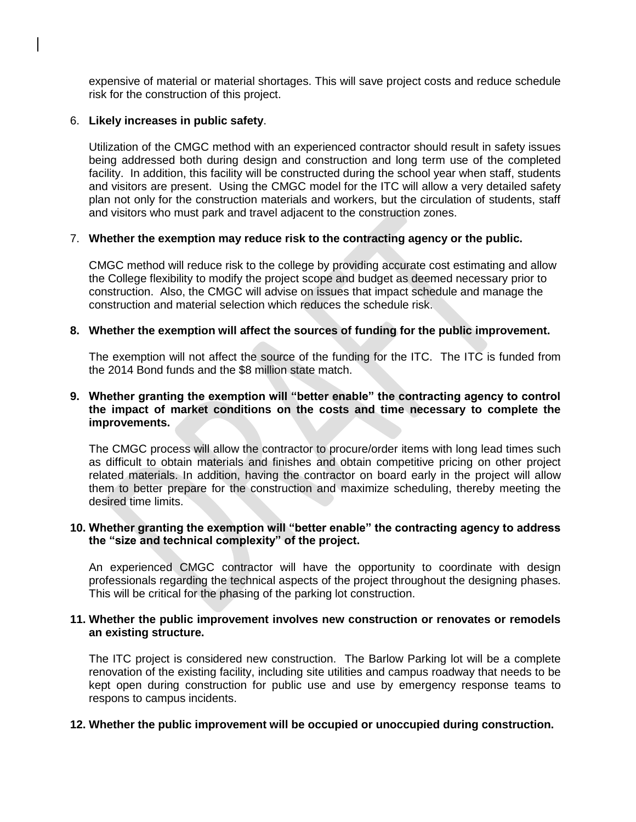expensive of material or material shortages. This will save project costs and reduce schedule risk for the construction of this project.

### 6. **Likely increases in public safety**.

Utilization of the CMGC method with an experienced contractor should result in safety issues being addressed both during design and construction and long term use of the completed facility. In addition, this facility will be constructed during the school year when staff, students and visitors are present. Using the CMGC model for the ITC will allow a very detailed safety plan not only for the construction materials and workers, but the circulation of students, staff and visitors who must park and travel adjacent to the construction zones.

## 7. **Whether the exemption may reduce risk to the contracting agency or the public.**

CMGC method will reduce risk to the college by providing accurate cost estimating and allow the College flexibility to modify the project scope and budget as deemed necessary prior to construction. Also, the CMGC will advise on issues that impact schedule and manage the construction and material selection which reduces the schedule risk.

## **8. Whether the exemption will affect the sources of funding for the public improvement.**

The exemption will not affect the source of the funding for the ITC. The ITC is funded from the 2014 Bond funds and the \$8 million state match.

## **9. Whether granting the exemption will "better enable" the contracting agency to control the impact of market conditions on the costs and time necessary to complete the improvements.**

The CMGC process will allow the contractor to procure/order items with long lead times such as difficult to obtain materials and finishes and obtain competitive pricing on other project related materials. In addition, having the contractor on board early in the project will allow them to better prepare for the construction and maximize scheduling, thereby meeting the desired time limits.

## **10. Whether granting the exemption will "better enable" the contracting agency to address the "size and technical complexity" of the project.**

An experienced CMGC contractor will have the opportunity to coordinate with design professionals regarding the technical aspects of the project throughout the designing phases. This will be critical for the phasing of the parking lot construction.

#### **11. Whether the public improvement involves new construction or renovates or remodels an existing structure.**

The ITC project is considered new construction. The Barlow Parking lot will be a complete renovation of the existing facility, including site utilities and campus roadway that needs to be kept open during construction for public use and use by emergency response teams to respons to campus incidents.

#### **12. Whether the public improvement will be occupied or unoccupied during construction.**